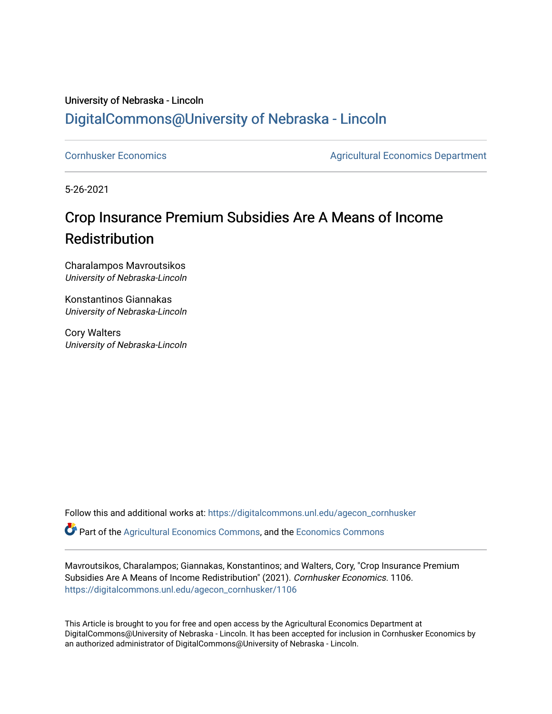### University of Nebraska - Lincoln [DigitalCommons@University of Nebraska - Lincoln](https://digitalcommons.unl.edu/)

[Cornhusker Economics](https://digitalcommons.unl.edu/agecon_cornhusker) **Agricultural Economics** Department

5-26-2021

### Crop Insurance Premium Subsidies Are A Means of Income Redistribution

Charalampos Mavroutsikos University of Nebraska-Lincoln

Konstantinos Giannakas University of Nebraska-Lincoln

Cory Walters University of Nebraska-Lincoln

Follow this and additional works at: [https://digitalcommons.unl.edu/agecon\\_cornhusker](https://digitalcommons.unl.edu/agecon_cornhusker?utm_source=digitalcommons.unl.edu%2Fagecon_cornhusker%2F1106&utm_medium=PDF&utm_campaign=PDFCoverPages) 

Part of the [Agricultural Economics Commons,](http://network.bepress.com/hgg/discipline/1225?utm_source=digitalcommons.unl.edu%2Fagecon_cornhusker%2F1106&utm_medium=PDF&utm_campaign=PDFCoverPages) and the [Economics Commons](http://network.bepress.com/hgg/discipline/340?utm_source=digitalcommons.unl.edu%2Fagecon_cornhusker%2F1106&utm_medium=PDF&utm_campaign=PDFCoverPages) 

Mavroutsikos, Charalampos; Giannakas, Konstantinos; and Walters, Cory, "Crop Insurance Premium Subsidies Are A Means of Income Redistribution" (2021). Cornhusker Economics. 1106. [https://digitalcommons.unl.edu/agecon\\_cornhusker/1106](https://digitalcommons.unl.edu/agecon_cornhusker/1106?utm_source=digitalcommons.unl.edu%2Fagecon_cornhusker%2F1106&utm_medium=PDF&utm_campaign=PDFCoverPages)

This Article is brought to you for free and open access by the Agricultural Economics Department at DigitalCommons@University of Nebraska - Lincoln. It has been accepted for inclusion in Cornhusker Economics by an authorized administrator of DigitalCommons@University of Nebraska - Lincoln.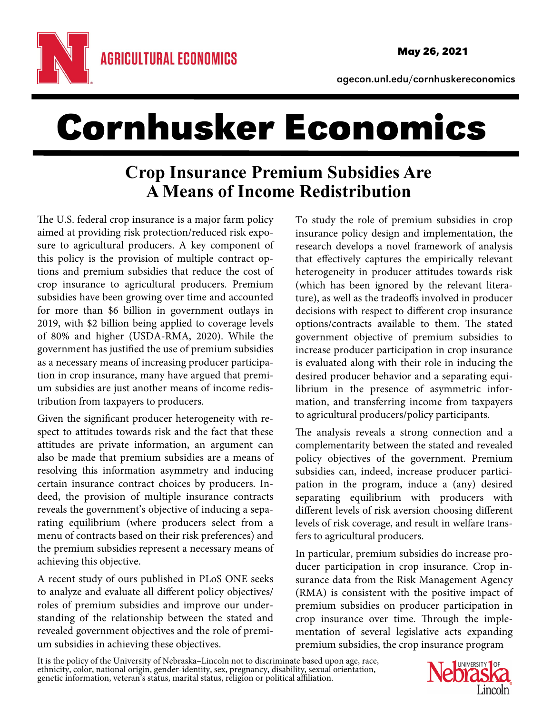

agecon.unl.edu/cornhuskereconomics

# Cornhusker Economics

## **Crop Insurance Premium Subsidies Are A Means of Income Redistribution**

The U.S. federal crop insurance is a major farm policy aimed at providing risk protection/reduced risk exposure to agricultural producers. A key component of this policy is the provision of multiple contract options and premium subsidies that reduce the cost of crop insurance to agricultural producers. Premium subsidies have been growing over time and accounted for more than \$6 billion in government outlays in 2019, with \$2 billion being applied to coverage levels of 80% and higher (USDA-RMA, 2020). While the government has justified the use of premium subsidies as a necessary means of increasing producer participation in crop insurance, many have argued that premium subsidies are just another means of income redistribution from taxpayers to producers.

Given the significant producer heterogeneity with respect to attitudes towards risk and the fact that these attitudes are private information, an argument can also be made that premium subsidies are a means of resolving this information asymmetry and inducing certain insurance contract choices by producers. Indeed, the provision of multiple insurance contracts reveals the government's objective of inducing a separating equilibrium (where producers select from a menu of contracts based on their risk preferences) and the premium subsidies represent a necessary means of achieving this objective.

A recent study of ours published in PLoS ONE seeks to analyze and evaluate all different policy objectives/ roles of premium subsidies and improve our understanding of the relationship between the stated and revealed government objectives and the role of premium subsidies in achieving these objectives.

To study the role of premium subsidies in crop insurance policy design and implementation, the research develops a novel framework of analysis that effectively captures the empirically relevant heterogeneity in producer attitudes towards risk (which has been ignored by the relevant literature), as well as the tradeoffs involved in producer decisions with respect to different crop insurance options/contracts available to them. The stated government objective of premium subsidies to increase producer participation in crop insurance is evaluated along with their role in inducing the desired producer behavior and a separating equilibrium in the presence of asymmetric information, and transferring income from taxpayers to agricultural producers/policy participants.

The analysis reveals a strong connection and a complementarity between the stated and revealed policy objectives of the government. Premium subsidies can, indeed, increase producer participation in the program, induce a (any) desired separating equilibrium with producers with different levels of risk aversion choosing different levels of risk coverage, and result in welfare transfers to agricultural producers.

In particular, premium subsidies do increase producer participation in crop insurance. Crop insurance data from the Risk Management Agency (RMA) is consistent with the positive impact of premium subsidies on producer participation in crop insurance over time. Through the implementation of several legislative acts expanding premium subsidies, the crop insurance program

It is the policy of the University of Nebraska–Lincoln not to discriminate based upon age, race, ethnicity, color, national origin, gender-identity, sex, pregnancy, disability, sexual orientation, genetic information, vete

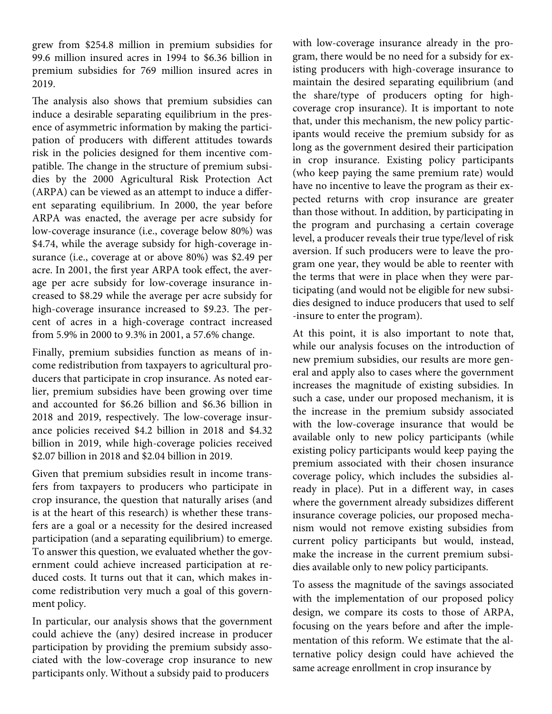grew from \$254.8 million in premium subsidies for 99.6 million insured acres in 1994 to \$6.36 billion in premium subsidies for 769 million insured acres in 2019.

The analysis also shows that premium subsidies can induce a desirable separating equilibrium in the presence of asymmetric information by making the participation of producers with different attitudes towards risk in the policies designed for them incentive compatible. The change in the structure of premium subsidies by the 2000 Agricultural Risk Protection Act (ARPA) can be viewed as an attempt to induce a different separating equilibrium. In 2000, the year before ARPA was enacted, the average per acre subsidy for low-coverage insurance (i.e., coverage below 80%) was \$4.74, while the average subsidy for high-coverage insurance (i.e., coverage at or above 80%) was \$2.49 per acre. In 2001, the first year ARPA took effect, the average per acre subsidy for low-coverage insurance increased to \$8.29 while the average per acre subsidy for high-coverage insurance increased to \$9.23. The percent of acres in a high-coverage contract increased from 5.9% in 2000 to 9.3% in 2001, a 57.6% change.

Finally, premium subsidies function as means of income redistribution from taxpayers to agricultural producers that participate in crop insurance. As noted earlier, premium subsidies have been growing over time and accounted for \$6.26 billion and \$6.36 billion in 2018 and 2019, respectively. The low-coverage insurance policies received \$4.2 billion in 2018 and \$4.32 billion in 2019, while high-coverage policies received \$2.07 billion in 2018 and \$2.04 billion in 2019.

Given that premium subsidies result in income transfers from taxpayers to producers who participate in crop insurance, the question that naturally arises (and is at the heart of this research) is whether these transfers are a goal or a necessity for the desired increased participation (and a separating equilibrium) to emerge. To answer this question, we evaluated whether the government could achieve increased participation at reduced costs. It turns out that it can, which makes income redistribution very much a goal of this government policy.

In particular, our analysis shows that the government could achieve the (any) desired increase in producer participation by providing the premium subsidy associated with the low-coverage crop insurance to new participants only. Without a subsidy paid to producers

with low-coverage insurance already in the program, there would be no need for a subsidy for existing producers with high-coverage insurance to maintain the desired separating equilibrium (and the share/type of producers opting for highcoverage crop insurance). It is important to note that, under this mechanism, the new policy participants would receive the premium subsidy for as long as the government desired their participation in crop insurance. Existing policy participants (who keep paying the same premium rate) would have no incentive to leave the program as their expected returns with crop insurance are greater than those without. In addition, by participating in the program and purchasing a certain coverage level, a producer reveals their true type/level of risk aversion. If such producers were to leave the program one year, they would be able to reenter with the terms that were in place when they were participating (and would not be eligible for new subsidies designed to induce producers that used to self -insure to enter the program).

At this point, it is also important to note that, while our analysis focuses on the introduction of new premium subsidies, our results are more general and apply also to cases where the government increases the magnitude of existing subsidies. In such a case, under our proposed mechanism, it is the increase in the premium subsidy associated with the low-coverage insurance that would be available only to new policy participants (while existing policy participants would keep paying the premium associated with their chosen insurance coverage policy, which includes the subsidies already in place). Put in a different way, in cases where the government already subsidizes different insurance coverage policies, our proposed mechanism would not remove existing subsidies from current policy participants but would, instead, make the increase in the current premium subsidies available only to new policy participants.

To assess the magnitude of the savings associated with the implementation of our proposed policy design, we compare its costs to those of ARPA, focusing on the years before and after the implementation of this reform. We estimate that the alternative policy design could have achieved the same acreage enrollment in crop insurance by